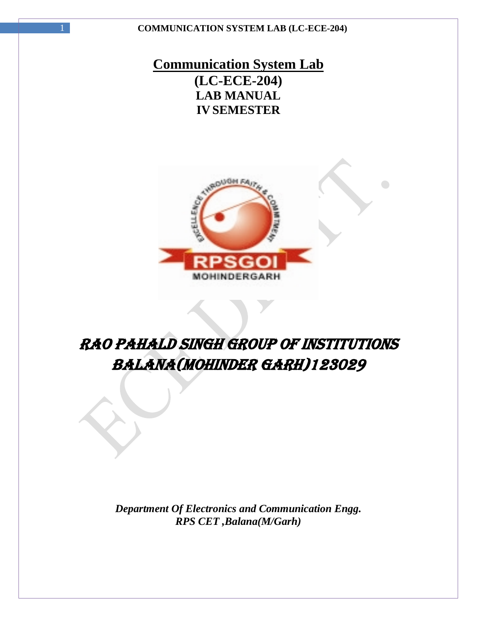## **Communication System Lab (LC-ECE-204) LAB MANUAL IV SEMESTER**



# RAO PAHALD SINGH GROUP OF INSTITUTIONS BALANA(MOHINDER GARH)123029

*Department Of Electronics and Communication Engg. RPS CET ,Balana(M/Garh)*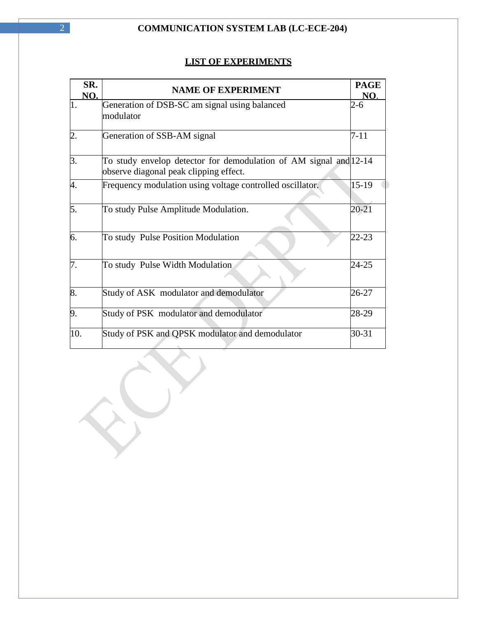### **LIST OF EXPERIMENTS**

| SR.<br>NO.       | <b>NAME OF EXPERIMENT</b>                                                                                   | <b>PAGE</b><br>NO. |
|------------------|-------------------------------------------------------------------------------------------------------------|--------------------|
|                  | Generation of DSB-SC am signal using balanced<br>modulator                                                  | 2-6                |
| $\overline{2}$ . | Generation of SSB-AM signal                                                                                 | $7 - 11$           |
| 3.               | To study envelop detector for demodulation of AM signal and 12-14<br>observe diagonal peak clipping effect. |                    |
| 4.               | Frequency modulation using voltage controlled oscillator.                                                   | 15-19              |
| 5.               | To study Pulse Amplitude Modulation.                                                                        | $20 - 21$          |
| 6.               | To study Pulse Position Modulation                                                                          | $22 - 23$          |
| 7.               | To study Pulse Width Modulation                                                                             | 24-25              |
| 8.               | Study of ASK modulator and demodulator                                                                      | 26-27              |
| 9.               | Study of PSK modulator and demodulator                                                                      | 28-29              |
| 10.              | Study of PSK and QPSK modulator and demodulator                                                             | $30 - 31$          |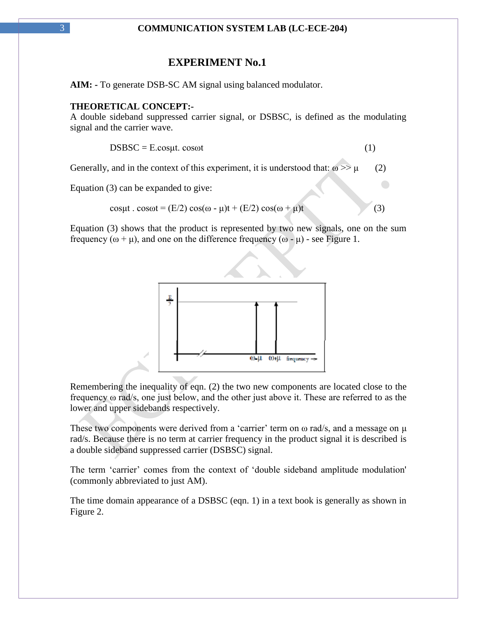### **EXPERIMENT No.1**

**AIM: -** To generate DSB-SC AM signal using balanced modulator.

### **THEORETICAL CONCEPT:-**

A double sideband suppressed carrier signal, or DSBSC, is defined as the modulating signal and the carrier wave.

$$
DSBSC = E.cos\mu t. \cos\omega t \tag{1}
$$

Generally, and in the context of this experiment, it is understood that:  $\omega \gg \mu$  (2)

Equation (3) can be expanded to give:

$$
cos\mu t \cdot cos\omega t = (E/2) cos(\omega - \mu)t + (E/2) cos(\omega + \mu)t
$$
\n(3)

Equation (3) shows that the product is represented by two new signals, one on the sum frequency  $(\omega + \mu)$ , and one on the difference frequency  $(\omega - \mu)$  - see Figure 1.



Remembering the inequality of eqn. (2) the two new components are located close to the frequency ω rad/s, one just below, and the other just above it. These are referred to as the lower and upper sidebands respectively.

These two components were derived from a 'carrier' term on  $\omega$  rad/s, and a message on  $\mu$ rad/s. Because there is no term at carrier frequency in the product signal it is described is a double sideband suppressed carrier (DSBSC) signal.

The term 'carrier' comes from the context of 'double sideband amplitude modulation' (commonly abbreviated to just AM).

The time domain appearance of a DSBSC (eqn. 1) in a text book is generally as shown in Figure 2.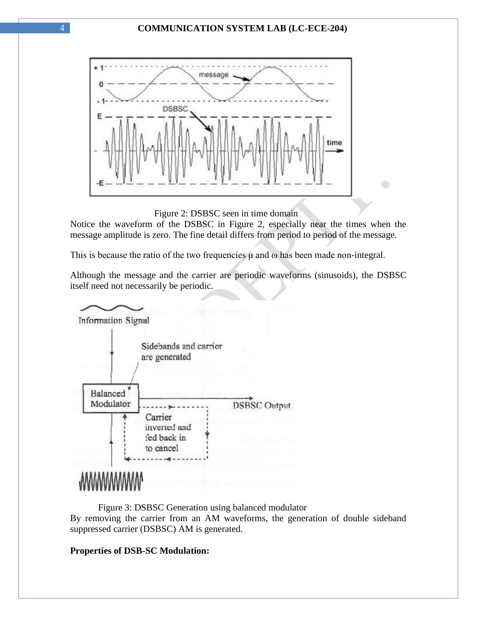

Figure 2: DSBSC seen in time domain

Notice the waveform of the DSBSC in Figure 2, especially near the times when the message amplitude is zero. The fine detail differs from period to period of the message.

 $\bigodot$ 

This is because the ratio of the two frequencies  $\mu$  and  $\omega$  has been made non-integral.

Although the message and the carrier are periodic waveforms (sinusoids), the DSBSC itself need not necessarily be periodic.



 Figure 3: DSBSC Generation using balanced modulator By removing the carrier from an AM waveforms, the generation of double sideband suppressed carrier (DSBSC) AM is generated.

### **Properties of DSB-SC Modulation:**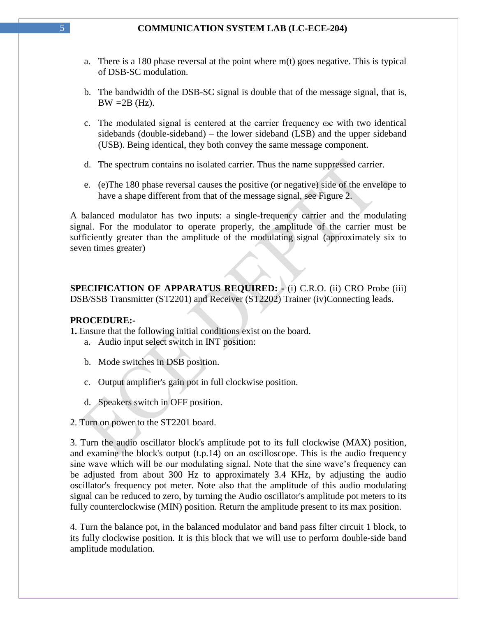- a. There is a 180 phase reversal at the point where m(t) goes negative. This is typical of DSB-SC modulation.
- b. The bandwidth of the DSB-SC signal is double that of the message signal, that is,  $BW = 2B (Hz)$ .
- c. The modulated signal is centered at the carrier frequency ωc with two identical sidebands (double-sideband) – the lower sideband (LSB) and the upper sideband (USB). Being identical, they both convey the same message component.
- d. The spectrum contains no isolated carrier. Thus the name suppressed carrier.
- e. (e)The 180 phase reversal causes the positive (or negative) side of the envelope to have a shape different from that of the message signal, see Figure 2.

A balanced modulator has two inputs: a single-frequency carrier and the modulating signal. For the modulator to operate properly, the amplitude of the carrier must be sufficiently greater than the amplitude of the modulating signal (approximately six to seven times greater)

**SPECIFICATION OF APPARATUS REQUIRED: -** (i) C.R.O. (ii) CRO Probe (iii) DSB/SSB Transmitter (ST2201) and Receiver (ST2202) Trainer (iv)Connecting leads.

### **PROCEDURE:-**

**1.** Ensure that the following initial conditions exist on the board.

- a. Audio input select switch in INT position:
- b. Mode switches in DSB position.
- c. Output amplifier's gain pot in full clockwise position.
- d. Speakers switch in OFF position.
- 2. Turn on power to the ST2201 board.

3. Turn the audio oscillator block's amplitude pot to its full clockwise (MAX) position, and examine the block's output (t.p.14) on an oscilloscope. This is the audio frequency sine wave which will be our modulating signal. Note that the sine wave"s frequency can be adjusted from about 300 Hz to approximately 3.4 KHz, by adjusting the audio oscillator's frequency pot meter. Note also that the amplitude of this audio modulating signal can be reduced to zero, by turning the Audio oscillator's amplitude pot meters to its fully counterclockwise (MIN) position. Return the amplitude present to its max position.

4. Turn the balance pot, in the balanced modulator and band pass filter circuit 1 block, to its fully clockwise position. It is this block that we will use to perform double-side band amplitude modulation.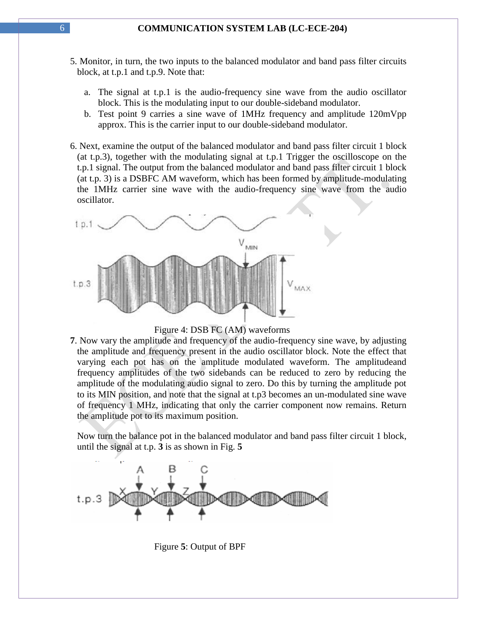- 5. Monitor, in turn, the two inputs to the balanced modulator and band pass filter circuits block, at t.p.1 and t.p.9. Note that:
	- a. The signal at t.p.1 is the audio-frequency sine wave from the audio oscillator block. This is the modulating input to our double-sideband modulator.
	- b. Test point 9 carries a sine wave of 1MHz frequency and amplitude 120mVpp approx. This is the carrier input to our double-sideband modulator.
- 6. Next, examine the output of the balanced modulator and band pass filter circuit 1 block (at t.p.3), together with the modulating signal at t.p.1 Trigger the oscilloscope on the t.p.1 signal. The output from the balanced modulator and band pass filter circuit 1 block (at t.p. 3) is a DSBFC AM waveform, which has been formed by amplitude-modulating the 1MHz carrier sine wave with the audio-frequency sine wave from the audio oscillator.





**7**. Now vary the amplitude and frequency of the audio-frequency sine wave, by adjusting the amplitude and frequency present in the audio oscillator block. Note the effect that varying each pot has on the amplitude modulated waveform. The amplitudeand frequency amplitudes of the two sidebands can be reduced to zero by reducing the amplitude of the modulating audio signal to zero. Do this by turning the amplitude pot to its MIN position, and note that the signal at t.p3 becomes an un-modulated sine wave of frequency 1 MHz, indicating that only the carrier component now remains. Return the amplitude pot to its maximum position.

 Now turn the balance pot in the balanced modulator and band pass filter circuit 1 block, until the signal at t.p. **3** is as shown in Fig. **5**



Figure **5**: Output of BPF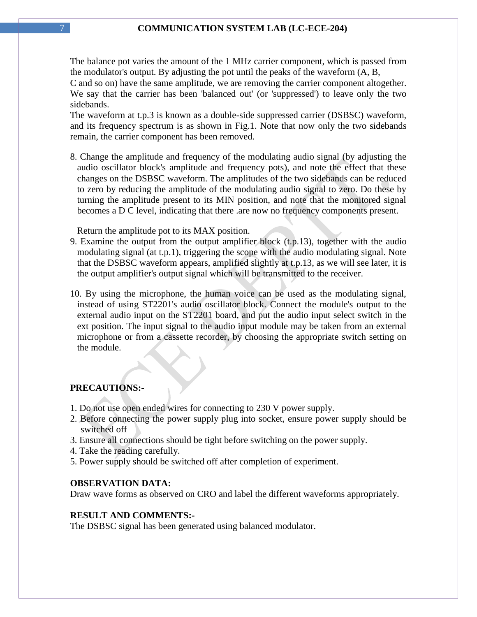The balance pot varies the amount of the 1 MHz carrier component, which is passed from the modulator's output. By adjusting the pot until the peaks of the waveform (A, B,

C and so on) have the same amplitude, we are removing the carrier component altogether. We say that the carrier has been 'balanced out' (or 'suppressed') to leave only the two sidebands.

The waveform at t.p.3 is known as a double-side suppressed carrier (DSBSC) waveform, and its frequency spectrum is as shown in Fig.1. Note that now only the two sidebands remain, the carrier component has been removed.

8. Change the amplitude and frequency of the modulating audio signal (by adjusting the audio oscillator block's amplitude and frequency pots), and note the effect that these changes on the DSBSC waveform. The amplitudes of the two sidebands can be reduced to zero by reducing the amplitude of the modulating audio signal to zero. Do these by turning the amplitude present to its MIN position, and note that the monitored signal becomes a D C level, indicating that there .are now no frequency components present.

Return the amplitude pot to its MAX position.

- 9. Examine the output from the output amplifier block (t.p.13), together with the audio modulating signal (at t.p.1), triggering the scope with the audio modulating signal. Note that the DSBSC waveform appears, amplified slightly at t.p.13, as we will see later, it is the output amplifier's output signal which will be transmitted to the receiver.
- 10. By using the microphone, the human voice can be used as the modulating signal, instead of using ST2201's audio oscillator block. Connect the module's output to the external audio input on the ST2201 board, and put the audio input select switch in the ext position. The input signal to the audio input module may be taken from an external microphone or from a cassette recorder, by choosing the appropriate switch setting on the module.

### **PRECAUTIONS:-**

- 1. Do not use open ended wires for connecting to 230 V power supply.
- 2. Before connecting the power supply plug into socket, ensure power supply should be switched off
- 3. Ensure all connections should be tight before switching on the power supply.
- 4. Take the reading carefully.
- 5. Power supply should be switched off after completion of experiment.

#### **OBSERVATION DATA:**

Draw wave forms as observed on CRO and label the different waveforms appropriately.

### **RESULT AND COMMENTS:-**

The DSBSC signal has been generated using balanced modulator.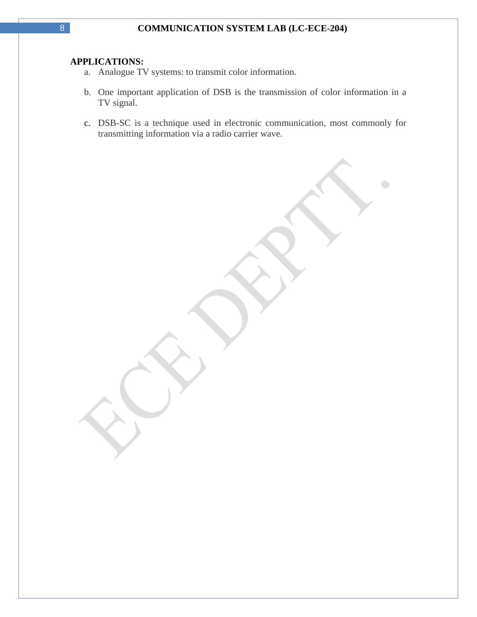### **APPLICATIONS:**

- a. Analogue TV systems: to transmit color information.
- b. One important application of DSB is the transmission of color information in a TV signal.
- c. DSB-SC is a technique used in electronic communication, most commonly for transmitting information via a radio carrier wave.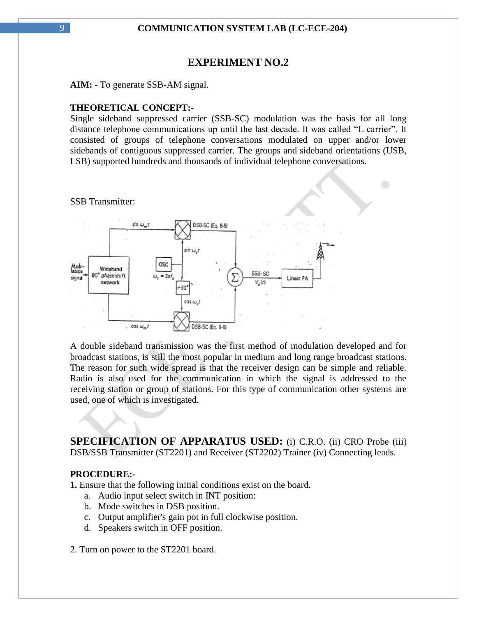### **EXPERIMENT NO.2**

**AIM: -** To generate SSB-AM signal.

### **THEORETICAL CONCEPT:-**

Single sideband suppressed carrier (SSB-SC) modulation was the basis for all long distance telephone communications up until the last decade. It was called "L carrier". It consisted of groups of telephone conversations modulated on upper and/or lower sidebands of contiguous suppressed carrier. The groups and sideband orientations (USB, LSB) supported hundreds and thousands of individual telephone conversations.

 $\bigodot$ 

SSB Transmitter:



A double sideband transmission was the first method of modulation developed and for broadcast stations, is still the most popular in medium and long range broadcast stations. The reason for such wide spread is that the receiver design can be simple and reliable. Radio is also used for the communication in which the signal is addressed to the receiving station or group of stations. For this type of communication other systems are used, one of which is investigated.

**SPECIFICATION OF APPARATUS USED:** (i) C.R.O. (ii) CRO Probe (iii) DSB/SSB Transmitter (ST2201) and Receiver (ST2202) Trainer (iv) Connecting leads.

### **PROCEDURE:-**

**1.** Ensure that the following initial conditions exist on the board.

- a. Audio input select switch in INT position:
- b. Mode switches in DSB position.
- c. Output amplifier's gain pot in full clockwise position.
- d. Speakers switch in OFF position.

2. Turn on power to the ST2201 board.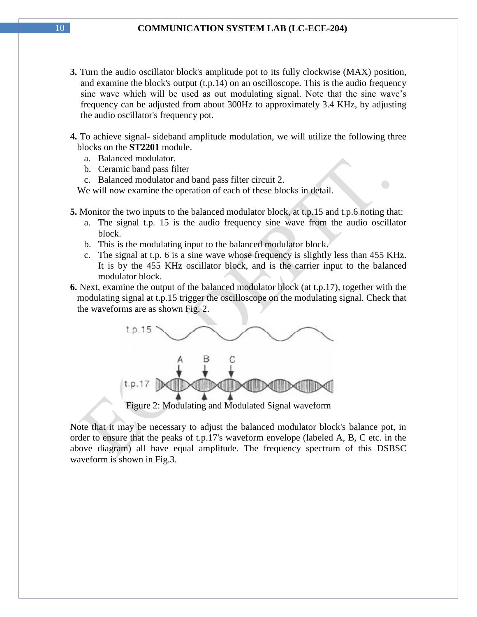**3.** Turn the audio oscillator block's amplitude pot to its fully clockwise (MAX) position, and examine the block's output (t.p.14) on an oscilloscope. This is the audio frequency sine wave which will be used as out modulating signal. Note that the sine wave"s frequency can be adjusted from about 300Hz to approximately 3.4 KHz, by adjusting the audio oscillator's frequency pot.

**4.** To achieve signal- sideband amplitude modulation, we will utilize the following three blocks on the **ST2201** module.

- a. Balanced modulator.
- b. Ceramic band pass filter
- c. Balanced modulator and band pass filter circuit 2.

We will now examine the operation of each of these blocks in detail.

- **5.** Monitor the two inputs to the balanced modulator block, at t.p.15 and t.p.6 noting that:
	- a. The signal t.p. 15 is the audio frequency sine wave from the audio oscillator block.
	- b. This is the modulating input to the balanced modulator block.
	- c. The signal at t.p. 6 is a sine wave whose frequency is slightly less than 455 KHz. It is by the 455 KHz oscillator block, and is the carrier input to the balanced modulator block.
- **6.** Next, examine the output of the balanced modulator block (at t.p.17), together with the modulating signal at t.p.15 trigger the oscilloscope on the modulating signal. Check that the waveforms are as shown Fig. 2.



Note that it may be necessary to adjust the balanced modulator block's balance pot, in order to ensure that the peaks of t.p.17's waveform envelope (labeled A, B, C etc. in the above diagram) all have equal amplitude. The frequency spectrum of this DSBSC waveform is shown in Fig.3.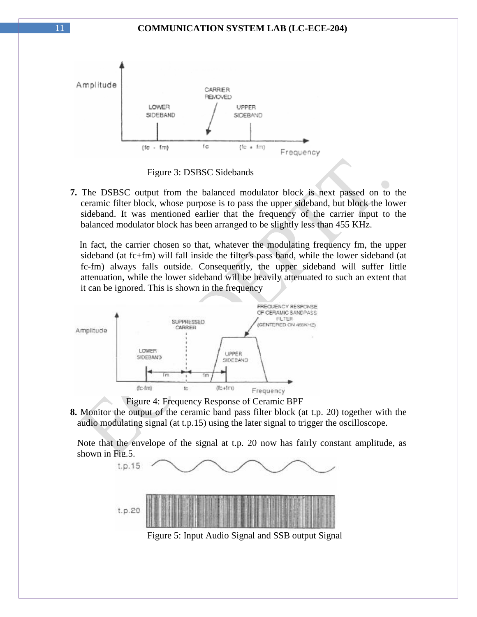

Figure 3: DSBSC Sidebands

**7.** The DSBSC output from the balanced modulator block is next passed on to the ceramic filter block, whose purpose is to pass the upper sideband, but block the lower sideband. It was mentioned earlier that the frequency of the carrier input to the balanced modulator block has been arranged to be slightly less than 455 KHz.

In fact, the carrier chosen so that, whatever the modulating frequency fm, the upper sideband (at fc+fm) will fall inside the filter's pass band, while the lower sideband (at fc-fm) always falls outside. Consequently, the upper sideband will suffer little attenuation, while the lower sideband will be heavily attenuated to such an extent that it can be ignored. This is shown in the frequency



Figure 4: Frequency Response of Ceramic BPF

**8.** Monitor the output of the ceramic band pass filter block (at t.p. 20) together with the audio modulating signal (at t.p.15) using the later signal to trigger the oscilloscope.

 Note that the envelope of the signal at t.p. 20 now has fairly constant amplitude, as shown in Fig.5.



Figure 5: Input Audio Signal and SSB output Signal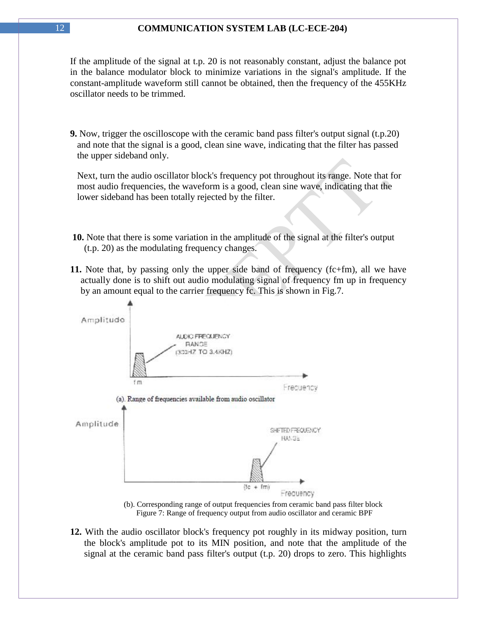If the amplitude of the signal at t.p. 20 is not reasonably constant, adjust the balance pot in the balance modulator block to minimize variations in the signal's amplitude. If the constant-amplitude waveform still cannot be obtained, then the frequency of the 455KHz oscillator needs to be trimmed.

**9.** Now, trigger the oscilloscope with the ceramic band pass filter's output signal (t.p.20) and note that the signal is a good, clean sine wave, indicating that the filter has passed the upper sideband only.

 Next, turn the audio oscillator block's frequency pot throughout its range. Note that for most audio frequencies, the waveform is a good, clean sine wave, indicating that the lower sideband has been totally rejected by the filter.

- **10.** Note that there is some variation in the amplitude of the signal at the filter's output (t.p. 20) as the modulating frequency changes.
- **11.** Note that, by passing only the upper side band of frequency (fc+fm), all we have actually done is to shift out audio modulating signal of frequency fm up in frequency by an amount equal to the carrier frequency fc. This is shown in Fig.7.



 (b). Corresponding range of output frequencies from ceramic band pass filter block Figure 7: Range of frequency output from audio oscillator and ceramic BPF

**12.** With the audio oscillator block's frequency pot roughly in its midway position, turn the block's amplitude pot to its MIN position, and note that the amplitude of the signal at the ceramic band pass filter's output (t.p. 20) drops to zero. This highlights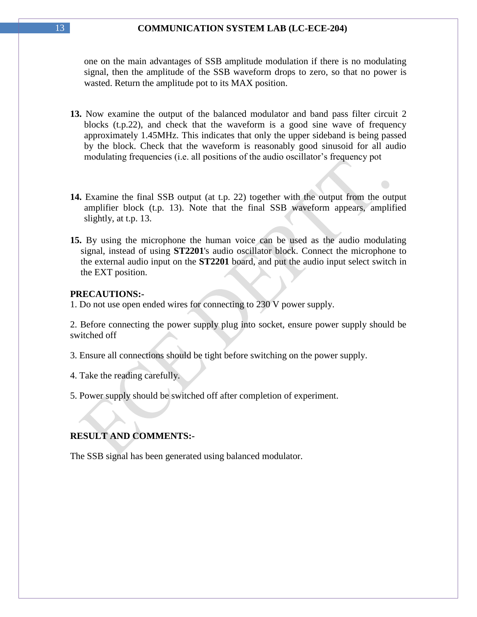one on the main advantages of SSB amplitude modulation if there is no modulating signal, then the amplitude of the SSB waveform drops to zero, so that no power is wasted. Return the amplitude pot to its MAX position.

- **13.** Now examine the output of the balanced modulator and band pass filter circuit 2 blocks (t.p.22), and check that the waveform is a good sine wave of frequency approximately 1.45MHz. This indicates that only the upper sideband is being passed by the block. Check that the waveform is reasonably good sinusoid for all audio modulating frequencies (i.e. all positions of the audio oscillator's frequency pot
- **14.** Examine the final SSB output (at t.p. 22) together with the output from the output amplifier block (t.p. 13). Note that the final SSB waveform appears, amplified slightly, at t.p. 13.
- **15.** By using the microphone the human voice can be used as the audio modulating signal, instead of using **ST2201**'s audio oscillator block. Connect the microphone to the external audio input on the **ST2201** board, and put the audio input select switch in the EXT position.

#### **PRECAUTIONS:-**

1. Do not use open ended wires for connecting to 230 V power supply.

2. Before connecting the power supply plug into socket, ensure power supply should be switched off

- 3. Ensure all connections should be tight before switching on the power supply.
- 4. Take the reading carefully.

5. Power supply should be switched off after completion of experiment.

### **RESULT AND COMMENTS:-**

The SSB signal has been generated using balanced modulator.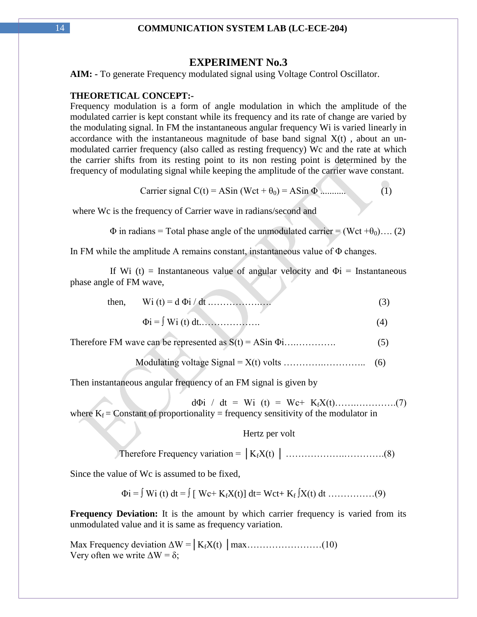### **EXPERIMENT No.3**

**AIM: -** To generate Frequency modulated signal using Voltage Control Oscillator.

### **THEORETICAL CONCEPT:-**

Frequency modulation is a form of angle modulation in which the amplitude of the modulated carrier is kept constant while its frequency and its rate of change are varied by the modulating signal. In FM the instantaneous angular frequency Wi is varied linearly in accordance with the instantaneous magnitude of base band signal  $X(t)$ , about an unmodulated carrier frequency (also called as resting frequency) Wc and the rate at which the carrier shifts from its resting point to its non resting point is determined by the frequency of modulating signal while keeping the amplitude of the carrier wave constant.

$$
Carrier signal C(t) = ASin (Wct + \theta_0) = ASin \Phi
$$
 (1)

 $\blacksquare$ 

where Wc is the frequency of Carrier wave in radians/second and

 $\Phi$  in radians = Total phase angle of the unmodulated carrier = (Wct + $\theta_0$ ).... (2)

In FM while the amplitude A remains constant, instantaneous value of Φ changes.

If Wi (t) = Instantaneous value of angular velocity and  $\Phi$ i = Instantaneous phase angle of FM wave,

| then. |  |
|-------|--|
|       |  |

- Φi = ∫ Wi (t) dt.………………. (4)
- Therefore FM wave can be represented as S(t) = ASin Φi….…………. (5)

Modulating voltage Signal =  $X(t)$  volts  $\dots\dots\dots\dots\dots\dots\dots\dots$  (6)

Then instantaneous angular frequency of an FM signal is given by

d $\Phi$ i / dt = Wi (t) = Wc+ K<sub>f</sub>X(t)………………….(7) where  $K_f$  = Constant of proportionality = frequency sensitivity of the modulator in

Hertz per volt

Therefore Frequency variation = │KfX(t) │ ……………….………….(8)

Since the value of Wc is assumed to be fixed,

Φi = ∫ Wi (t) dt = ∫ [ Wc+ KfX(t)] dt= Wct+ K<sup>f</sup> ∫X(t) dt ……………(9)

**Frequency Deviation:** It is the amount by which carrier frequency is varied from its unmodulated value and it is same as frequency variation.

Max Frequency deviation ΔW =│KfX(t) │max……………………(10) Very often we write  $\Delta W = \delta$ ;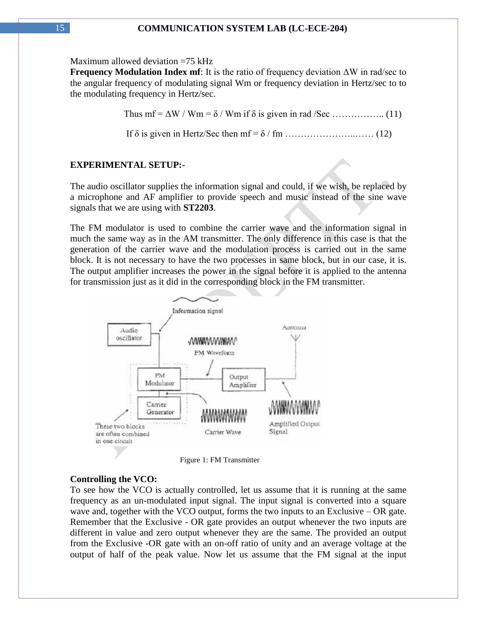Maximum allowed deviation =75 kHz

**Frequency Modulation Index mf**: It is the ratio of frequency deviation ΔW in rad/sec to the angular frequency of modulating signal Wm or frequency deviation in Hertz/sec to to the modulating frequency in Hertz/sec.

Thus mf = ΔW / Wm = δ / Wm if δ is given in rad /Sec …………….. (11)

If δ is given in Hertz/Sec then mf = δ / fm …………………..…… (12)

### **EXPERIMENTAL SETUP:-**

The audio oscillator supplies the information signal and could, if we wish, be replaced by a microphone and AF amplifier to provide speech and music instead of the sine wave signals that we are using with **ST2203**.

The FM modulator is used to combine the carrier wave and the information signal in much the same way as in the AM transmitter. The only difference in this case is that the generation of the carrier wave and the modulation process is carried out in the same block. It is not necessary to have the two processes in same block, but in our case, it is. The output amplifier increases the power in the signal before it is applied to the antenna for transmission just as it did in the corresponding block in the FM transmitter.



Figure 1: FM Transmitter

#### **Controlling the VCO:**

To see how the VCO is actually controlled, let us assume that it is running at the same frequency as an un-modulated input signal. The input signal is converted into a square wave and, together with the VCO output, forms the two inputs to an Exclusive – OR gate. Remember that the Exclusive - OR gate provides an output whenever the two inputs are different in value and zero output whenever they are the same. The provided an output from the Exclusive -OR gate with an on-off ratio of unity and an average voltage at the output of half of the peak value. Now let us assume that the FM signal at the input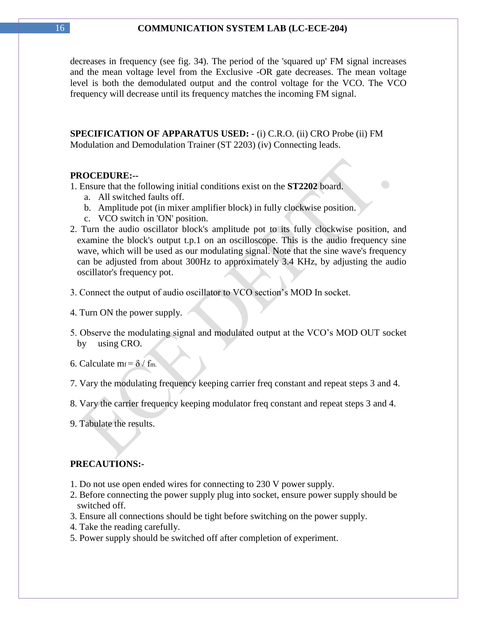decreases in frequency (see fig. 34). The period of the 'squared up' FM signal increases and the mean voltage level from the Exclusive -OR gate decreases. The mean voltage level is both the demodulated output and the control voltage for the VCO. The VCO frequency will decrease until its frequency matches the incoming FM signal.

**SPECIFICATION OF APPARATUS USED: -** (i) C.R.O. (ii) CRO Probe (ii) FM Modulation and Demodulation Trainer (ST 2203) (iv) Connecting leads.

#### **PROCEDURE:--**

1. Ensure that the following initial conditions exist on the **ST2202** board.

- a. All switched faults off.
- b. Amplitude pot (in mixer amplifier block) in fully clockwise position.
- c. VCO switch in 'ON' position.
- 2. Turn the audio oscillator block's amplitude pot to its fully clockwise position, and examine the block's output t.p.1 on an oscilloscope. This is the audio frequency sine wave, which will be used as our modulating signal. Note that the sine wave's frequency can be adjusted from about 300Hz to approximately 3.4 KHz, by adjusting the audio oscillator's frequency pot.
- 3. Connect the output of audio oscillator to VCO section"s MOD In socket.
- 4. Turn ON the power supply.
- 5. Observe the modulating signal and modulated output at the VCO"s MOD OUT socket by using CRO.
- 6. Calculate m $f = \delta / f_m$ .
- 7. Vary the modulating frequency keeping carrier freq constant and repeat steps 3 and 4.
- 8. Vary the carrier frequency keeping modulator freq constant and repeat steps 3 and 4.
- 9. Tabulate the results.

### **PRECAUTIONS:-**

- 1. Do not use open ended wires for connecting to 230 V power supply.
- 2. Before connecting the power supply plug into socket, ensure power supply should be switched off.
- 3. Ensure all connections should be tight before switching on the power supply.
- 4. Take the reading carefully.
- 5. Power supply should be switched off after completion of experiment.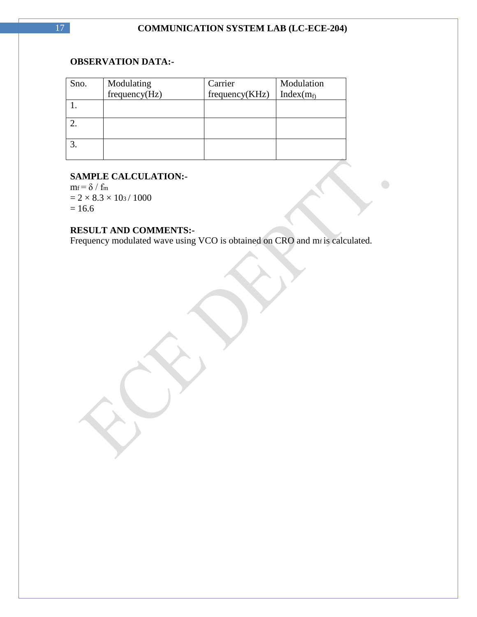$\bigodot$ 

### **OBSERVATION DATA:-**

| Sno. | Modulating<br>frequency(Hz) | Carrier        | Modulation    |
|------|-----------------------------|----------------|---------------|
|      |                             | frequency(KHz) | Index $(m_f)$ |
|      |                             |                |               |
|      |                             |                |               |
|      |                             |                |               |
|      |                             |                |               |

### **SAMPLE CALCULATION:-**

 $m_f = \delta / f_m$  $= 2 \times 8.3 \times 10<sub>3</sub> / 1000$  $= 16.6$ 

### **RESULT AND COMMENTS:-**

Frequency modulated wave using VCO is obtained on CRO and mf is calculated.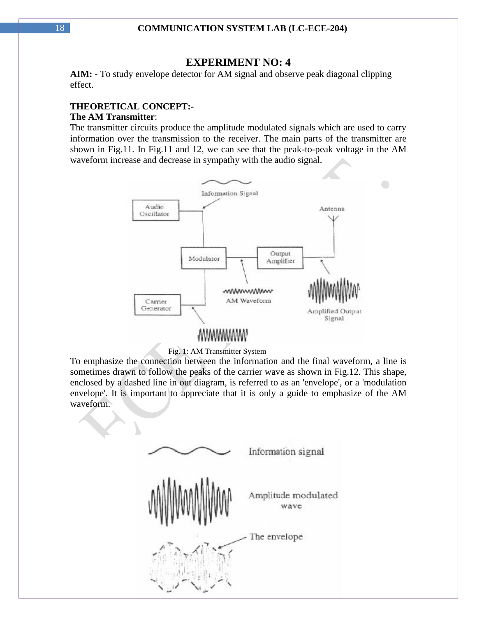### **EXPERIMENT NO: 4**

**AIM: -** To study envelope detector for AM signal and observe peak diagonal clipping effect.

#### **THEORETICAL CONCEPT:- The AM Transmitter**:

The transmitter circuits produce the amplitude modulated signals which are used to carry information over the transmission to the receiver. The main parts of the transmitter are shown in Fig.11. In Fig.11 and 12, we can see that the peak-to-peak voltage in the AM waveform increase and decrease in sympathy with the audio signal.



#### Fig. 1: AM Transmitter System

To emphasize the connection between the information and the final waveform, a line is sometimes drawn to follow the peaks of the carrier wave as shown in Fig.12. This shape, enclosed by a dashed line in out diagram, is referred to as an 'envelope', or a 'modulation envelope'. It is important to appreciate that it is only a guide to emphasize of the AM waveform.

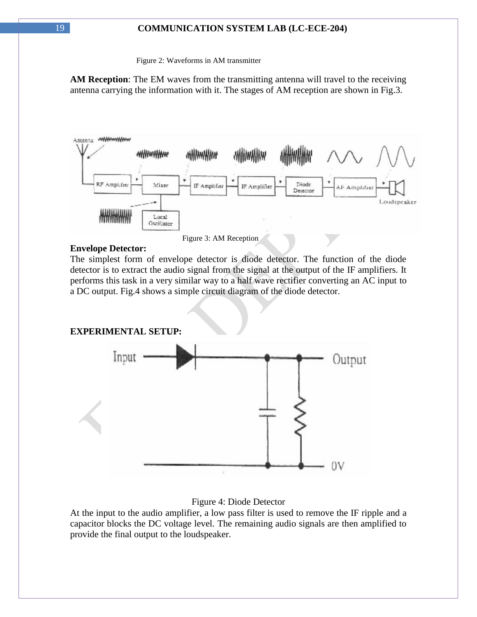Figure 2: Waveforms in AM transmitter

**AM Reception**: The EM waves from the transmitting antenna will travel to the receiving antenna carrying the information with it. The stages of AM reception are shown in Fig.3.



Figure 3: AM Reception

### **Envelope Detector:**

The simplest form of envelope detector is diode detector. The function of the diode detector is to extract the audio signal from the signal at the output of the IF amplifiers. It performs this task in a very similar way to a half wave rectifier converting an AC input to a DC output. Fig.4 shows a simple circuit diagram of the diode detector.

**EXPERIMENTAL SETUP:**



### Figure 4: Diode Detector

At the input to the audio amplifier, a low pass filter is used to remove the IF ripple and a capacitor blocks the DC voltage level. The remaining audio signals are then amplified to provide the final output to the loudspeaker.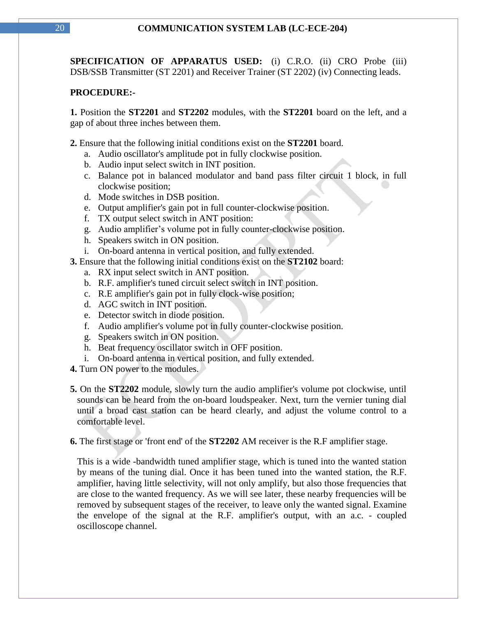**SPECIFICATION OF APPARATUS USED:** (i) C.R.O. (ii) CRO Probe (iii) DSB/SSB Transmitter (ST 2201) and Receiver Trainer (ST 2202) (iv) Connecting leads.

### **PROCEDURE:-**

**1.** Position the **ST2201** and **ST2202** modules, with the **ST2201** board on the left, and a gap of about three inches between them.

**2.** Ensure that the following initial conditions exist on the **ST2201** board.

- a. Audio oscillator's amplitude pot in fully clockwise position.
- b. Audio input select switch in INT position.
- c. Balance pot in balanced modulator and band pass filter circuit 1 block, in full clockwise position;
- d. Mode switches in DSB position.
- e. Output amplifier's gain pot in full counter-clockwise position.
- f. TX output select switch in ANT position:
- g. Audio amplifier"s volume pot in fully counter-clockwise position.
- h. Speakers switch in ON position.
- i. On-board antenna in vertical position, and fully extended.
- **3.** Ensure that the following initial conditions exist on the **ST2102** board:
	- a. RX input select switch in ANT position.
	- b. R.F. amplifier's tuned circuit select switch in INT position.
	- c. R.E amplifier's gain pot in fully clock-wise position;
	- d. AGC switch in INT position.
	- e. Detector switch in diode position.
	- f. Audio amplifier's volume pot in fully counter-clockwise position.
	- g. Speakers switch in ON position.
	- h. Beat frequency oscillator switch in OFF position.
	- i. On-board antenna in vertical position, and fully extended.
- **4.** Turn ON power to the modules.
- **5.** On the **ST2202** module, slowly turn the audio amplifier's volume pot clockwise, until sounds can be heard from the on-board loudspeaker. Next, turn the vernier tuning dial until a broad cast station can be heard clearly, and adjust the volume control to a comfortable level.

**6.** The first stage or 'front end' of the **ST2202** AM receiver is the R.F amplifier stage.

 This is a wide -bandwidth tuned amplifier stage, which is tuned into the wanted station by means of the tuning dial. Once it has been tuned into the wanted station, the R.F. amplifier, having little selectivity, will not only amplify, but also those frequencies that are close to the wanted frequency. As we will see later, these nearby frequencies will be removed by subsequent stages of the receiver, to leave only the wanted signal. Examine the envelope of the signal at the R.F. amplifier's output, with an a.c. - coupled oscilloscope channel.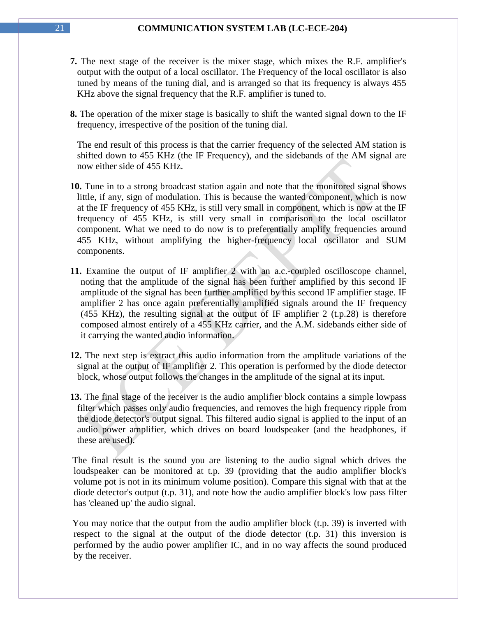- **7.** The next stage of the receiver is the mixer stage, which mixes the R.F. amplifier's output with the output of a local oscillator. The Frequency of the local oscillator is also tuned by means of the tuning dial, and is arranged so that its frequency is always 455 KHz above the signal frequency that the R.F. amplifier is tuned to.
- **8.** The operation of the mixer stage is basically to shift the wanted signal down to the IF frequency, irrespective of the position of the tuning dial.

 The end result of this process is that the carrier frequency of the selected AM station is shifted down to 455 KHz (the IF Frequency), and the sidebands of the AM signal are now either side of 455 KHz.

- **10.** Tune in to a strong broadcast station again and note that the monitored signal shows little, if any, sign of modulation. This is because the wanted component, which is now at the IF frequency of 455 KHz, is still very small in component, which is now at the IF frequency of 455 KHz, is still very small in comparison to the local oscillator component. What we need to do now is to preferentially amplify frequencies around 455 KHz, without amplifying the higher-frequency local oscillator and SUM components.
- **11.** Examine the output of IF amplifier 2 with an a.c.-coupled oscilloscope channel, noting that the amplitude of the signal has been further amplified by this second IF amplitude of the signal has been further amplified by this second IF amplifier stage. IF amplifier 2 has once again preferentially amplified signals around the IF frequency (455 KHz), the resulting signal at the output of IF amplifier 2 (t.p. 28) is therefore composed almost entirely of a 455 KHz carrier, and the A.M. sidebands either side of it carrying the wanted audio information.
- **12.** The next step is extract this audio information from the amplitude variations of the signal at the output of IF amplifier 2. This operation is performed by the diode detector block, whose output follows the changes in the amplitude of the signal at its input.
- **13.** The final stage of the receiver is the audio amplifier block contains a simple lowpass filter which passes only audio frequencies, and removes the high frequency ripple from the diode detector's output signal. This filtered audio signal is applied to the input of an audio power amplifier, which drives on board loudspeaker (and the headphones, if these are used).

The final result is the sound you are listening to the audio signal which drives the loudspeaker can be monitored at t.p. 39 (providing that the audio amplifier block's volume pot is not in its minimum volume position). Compare this signal with that at the diode detector's output (t.p. 31), and note how the audio amplifier block's low pass filter has 'cleaned up' the audio signal.

You may notice that the output from the audio amplifier block (t.p. 39) is inverted with respect to the signal at the output of the diode detector (t.p. 31) this inversion is performed by the audio power amplifier IC, and in no way affects the sound produced by the receiver.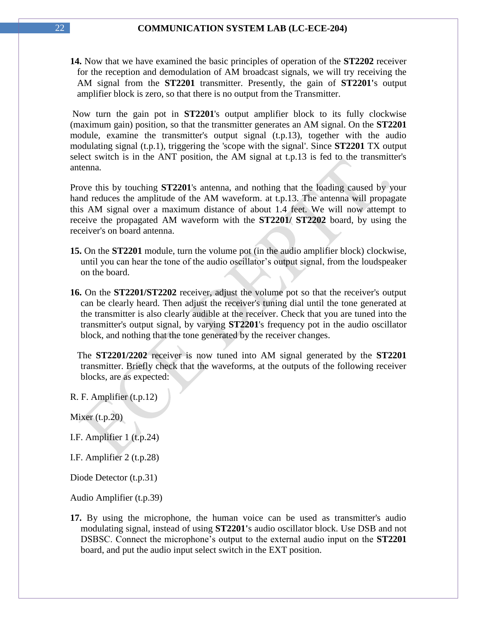**14.** Now that we have examined the basic principles of operation of the **ST2202** receiver for the reception and demodulation of AM broadcast signals, we will try receiving the AM signal from the **ST2201** transmitter. Presently, the gain of **ST2201'**s output amplifier block is zero, so that there is no output from the Transmitter.

Now turn the gain pot in **ST2201**'s output amplifier block to its fully clockwise (maximum gain) position, so that the transmitter generates an AM signal. On the **ST2201**  module, examine the transmitter's output signal (t.p.13), together with the audio modulating signal (t.p.1), triggering the 'scope with the signal'. Since **ST2201** TX output select switch is in the ANT position, the AM signal at t.p.13 is fed to the transmitter's antenna.

Prove this by touching **ST2201**'s antenna, and nothing that the loading caused by your hand reduces the amplitude of the AM waveform. at t.p.13. The antenna will propagate this AM signal over a maximum distance of about 1.4 feet. We will now attempt to receive the propagated AM waveform with the **ST2201/ ST2202** board, by using the receiver's on board antenna.

- **15.** On the **ST2201** module, turn the volume pot (in the audio amplifier block) clockwise, until you can hear the tone of the audio oscillator's output signal, from the loudspeaker on the board.
- **16.** On the **ST2201/ST2202** receiver, adjust the volume pot so that the receiver's output can be clearly heard. Then adjust the receiver's tuning dial until the tone generated at the transmitter is also clearly audible at the receiver. Check that you are tuned into the transmitter's output signal, by varying **ST2201**'s frequency pot in the audio oscillator block, and nothing that the tone generated by the receiver changes.

 The **ST2201/2202** receiver is now tuned into AM signal generated by the **ST2201** transmitter. Briefly check that the waveforms, at the outputs of the following receiver blocks, are as expected:

R. F. Amplifier (t.p.12)

Mixer (t.p.20)

I.F. Amplifier 1 (t.p.24)

I.F. Amplifier 2 (t.p.28)

Diode Detector (t.p.31)

Audio Amplifier (t.p.39)

**17.** By using the microphone, the human voice can be used as transmitter's audio modulating signal, instead of using **ST2201'**s audio oscillator block. Use DSB and not DSBSC. Connect the microphone"s output to the external audio input on the **ST2201** board, and put the audio input select switch in the EXT position.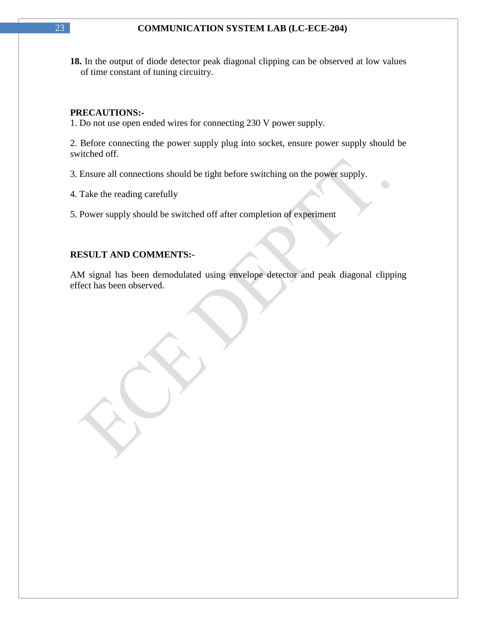**18.** In the output of diode detector peak diagonal clipping can be observed at low values of time constant of tuning circuitry.

### **PRECAUTIONS:-**

1. Do not use open ended wires for connecting 230 V power supply.

2. Before connecting the power supply plug into socket, ensure power supply should be switched off.

3. Ensure all connections should be tight before switching on the power supply.

4. Take the reading carefully

5. Power supply should be switched off after completion of experiment

### **RESULT AND COMMENTS:-**

AM signal has been demodulated using envelope detector and peak diagonal clipping effect has been observed.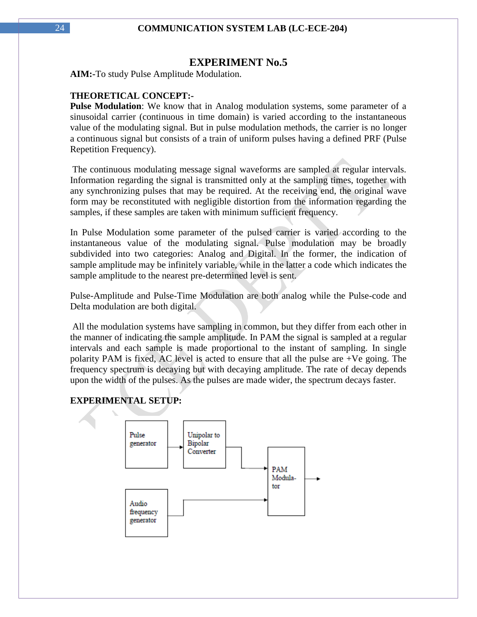### **EXPERIMENT No.5**

**AIM:-**To study Pulse Amplitude Modulation.

### **THEORETICAL CONCEPT:-**

**Pulse Modulation**: We know that in Analog modulation systems, some parameter of a sinusoidal carrier (continuous in time domain) is varied according to the instantaneous value of the modulating signal. But in pulse modulation methods, the carrier is no longer a continuous signal but consists of a train of uniform pulses having a defined PRF (Pulse Repetition Frequency).

The continuous modulating message signal waveforms are sampled at regular intervals. Information regarding the signal is transmitted only at the sampling times, together with any synchronizing pulses that may be required. At the receiving end, the original wave form may be reconstituted with negligible distortion from the information regarding the samples, if these samples are taken with minimum sufficient frequency.

In Pulse Modulation some parameter of the pulsed carrier is varied according to the instantaneous value of the modulating signal. Pulse modulation may be broadly subdivided into two categories: Analog and Digital. In the former, the indication of sample amplitude may be infinitely variable, while in the latter a code which indicates the sample amplitude to the nearest pre-determined level is sent.

Pulse-Amplitude and Pulse-Time Modulation are both analog while the Pulse-code and Delta modulation are both digital.

All the modulation systems have sampling in common, but they differ from each other in the manner of indicating the sample amplitude. In PAM the signal is sampled at a regular intervals and each sample is made proportional to the instant of sampling. In single polarity PAM is fixed, AC level is acted to ensure that all the pulse are +Ve going. The frequency spectrum is decaying but with decaying amplitude. The rate of decay depends upon the width of the pulses. As the pulses are made wider, the spectrum decays faster.

### **EXPERIMENTAL SETUP:**

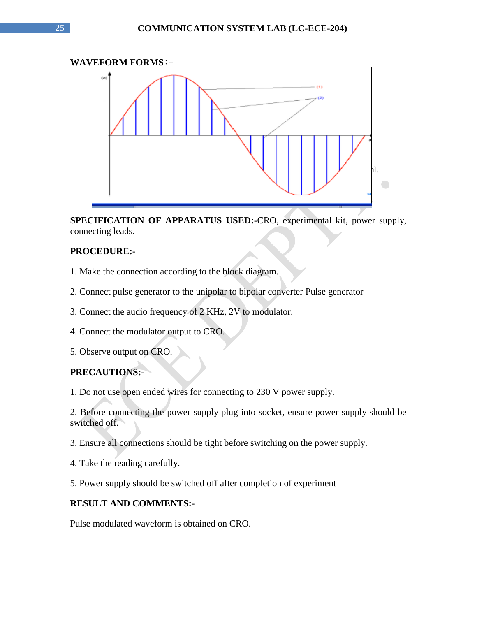

**SPECIFICATION OF APPARATUS USED:-**CRO, experimental kit, power supply, connecting leads.

### **PROCEDURE:-**

- 1. Make the connection according to the block diagram.
- 2. Connect pulse generator to the unipolar to bipolar converter Pulse generator
- 3. Connect the audio frequency of 2 KHz, 2V to modulator.
- 4. Connect the modulator output to CRO.
- 5. Observe output on CRO.

### **PRECAUTIONS:-**

1. Do not use open ended wires for connecting to 230 V power supply.

2. Before connecting the power supply plug into socket, ensure power supply should be switched off.

3. Ensure all connections should be tight before switching on the power supply.

- 4. Take the reading carefully.
- 5. Power supply should be switched off after completion of experiment

### **RESULT AND COMMENTS:-**

Pulse modulated waveform is obtained on CRO.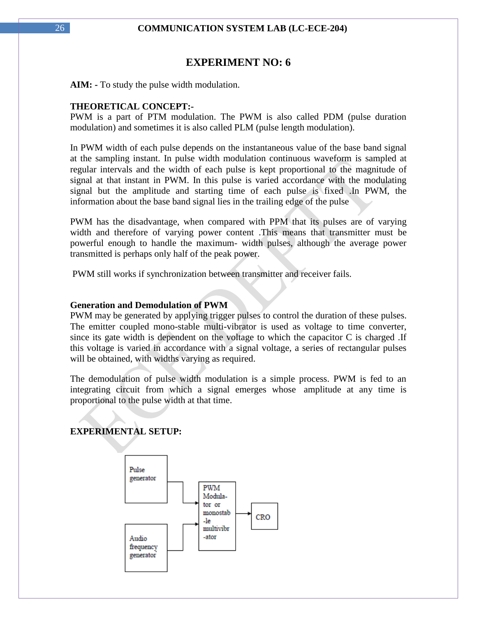### **EXPERIMENT NO: 6**

**AIM: -** To study the pulse width modulation.

### **THEORETICAL CONCEPT:-**

PWM is a part of PTM modulation. The PWM is also called PDM (pulse duration modulation) and sometimes it is also called PLM (pulse length modulation).

In PWM width of each pulse depends on the instantaneous value of the base band signal at the sampling instant. In pulse width modulation continuous waveform is sampled at regular intervals and the width of each pulse is kept proportional to the magnitude of signal at that instant in PWM. In this pulse is varied accordance with the modulating signal but the amplitude and starting time of each pulse is fixed .In PWM, the information about the base band signal lies in the trailing edge of the pulse

PWM has the disadvantage, when compared with PPM that its pulses are of varying width and therefore of varying power content .This means that transmitter must be powerful enough to handle the maximum- width pulses, although the average power transmitted is perhaps only half of the peak power.

PWM still works if synchronization between transmitter and receiver fails.

### **Generation and Demodulation of PWM**

PWM may be generated by applying trigger pulses to control the duration of these pulses. The emitter coupled mono-stable multi-vibrator is used as voltage to time converter, since its gate width is dependent on the voltage to which the capacitor C is charged .If this voltage is varied in accordance with a signal voltage, a series of rectangular pulses will be obtained, with widths varying as required.

The demodulation of pulse width modulation is a simple process. PWM is fed to an integrating circuit from which a signal emerges whose amplitude at any time is proportional to the pulse width at that time.

### **EXPERIMENTAL SETUP:**

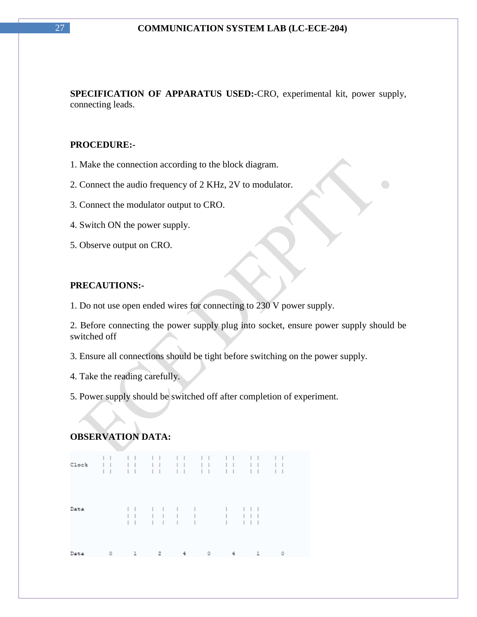**SPECIFICATION OF APPARATUS USED:-**CRO, experimental kit, power supply, connecting leads.

### **PROCEDURE:-**

- 1. Make the connection according to the block diagram.
- 2. Connect the audio frequency of 2 KHz, 2V to modulator.
- 3. Connect the modulator output to CRO.
- 4. Switch ON the power supply.
- 5. Observe output on CRO.

### **PRECAUTIONS:-**

1. Do not use open ended wires for connecting to 230 V power supply.

2. Before connecting the power supply plug into socket, ensure power supply should be switched off

3. Ensure all connections should be tight before switching on the power supply.

4. Take the reading carefully.

5. Power supply should be switched off after completion of experiment.

### **OBSERVATION DATA:**

|      |   |  |    |   | 11 11 11 11 11 11 11 11 |  |  |  |  |
|------|---|--|----|---|-------------------------|--|--|--|--|
| Data |   |  |    |   | $\blacksquare$          |  |  |  |  |
| Data | 0 |  | 2. | 4 | 0                       |  |  |  |  |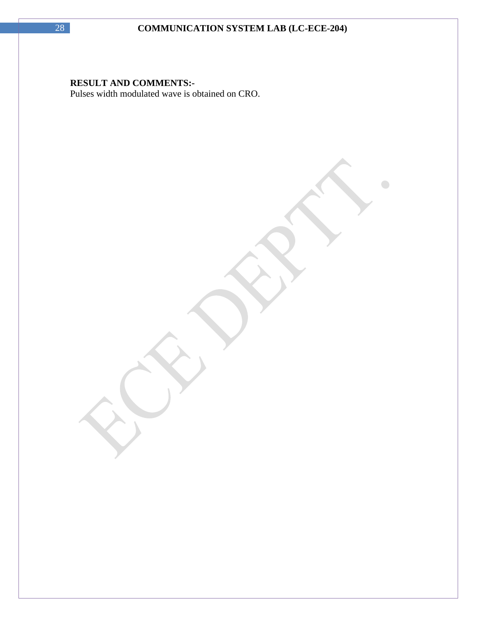$\bigodot$ 

### **RESULT AND COMMENTS:-**

Pulses width modulated wave is obtained on CRO.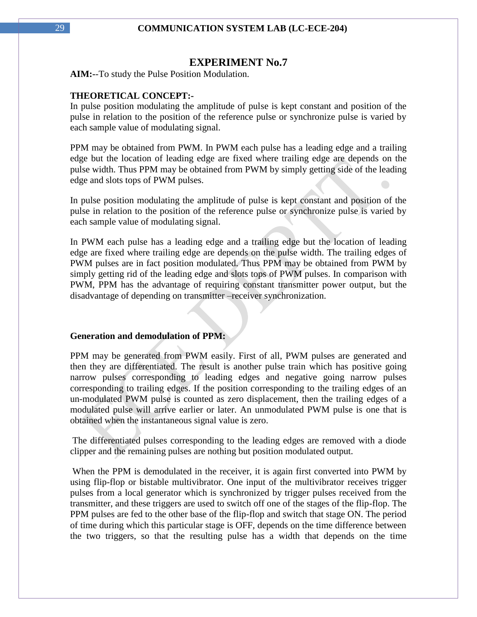### **EXPERIMENT No.7**

**AIM:-**-To study the Pulse Position Modulation.

### **THEORETICAL CONCEPT:-**

In pulse position modulating the amplitude of pulse is kept constant and position of the pulse in relation to the position of the reference pulse or synchronize pulse is varied by each sample value of modulating signal.

PPM may be obtained from PWM. In PWM each pulse has a leading edge and a trailing edge but the location of leading edge are fixed where trailing edge are depends on the pulse width. Thus PPM may be obtained from PWM by simply getting side of the leading edge and slots tops of PWM pulses.

In pulse position modulating the amplitude of pulse is kept constant and position of the pulse in relation to the position of the reference pulse or synchronize pulse is varied by each sample value of modulating signal.

In PWM each pulse has a leading edge and a trailing edge but the location of leading edge are fixed where trailing edge are depends on the pulse width. The trailing edges of PWM pulses are in fact position modulated. Thus PPM may be obtained from PWM by simply getting rid of the leading edge and slots tops of PWM pulses. In comparison with PWM, PPM has the advantage of requiring constant transmitter power output, but the disadvantage of depending on transmitter –receiver synchronization.

#### **Generation and demodulation of PPM:**

PPM may be generated from PWM easily. First of all, PWM pulses are generated and then they are differentiated. The result is another pulse train which has positive going narrow pulses corresponding to leading edges and negative going narrow pulses corresponding to trailing edges. If the position corresponding to the trailing edges of an un-modulated PWM pulse is counted as zero displacement, then the trailing edges of a modulated pulse will arrive earlier or later. An unmodulated PWM pulse is one that is obtained when the instantaneous signal value is zero.

The differentiated pulses corresponding to the leading edges are removed with a diode clipper and the remaining pulses are nothing but position modulated output.

When the PPM is demodulated in the receiver, it is again first converted into PWM by using flip-flop or bistable multivibrator. One input of the multivibrator receives trigger pulses from a local generator which is synchronized by trigger pulses received from the transmitter, and these triggers are used to switch off one of the stages of the flip-flop. The PPM pulses are fed to the other base of the flip-flop and switch that stage ON. The period of time during which this particular stage is OFF, depends on the time difference between the two triggers, so that the resulting pulse has a width that depends on the time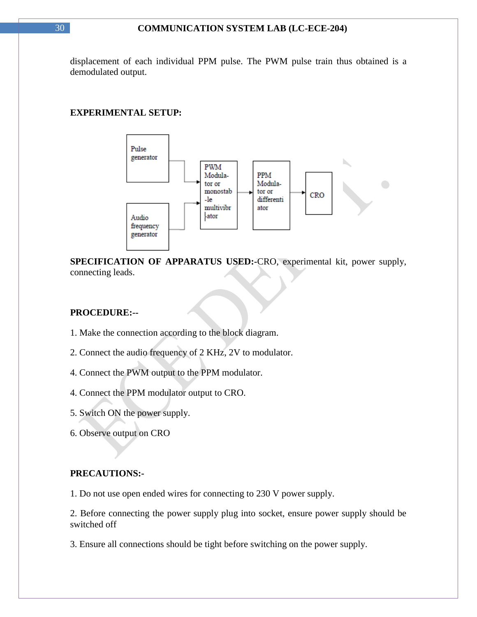displacement of each individual PPM pulse. The PWM pulse train thus obtained is a demodulated output.

### **EXPERIMENTAL SETUP:**



**SPECIFICATION OF APPARATUS USED:-**CRO, experimental kit, power supply, connecting leads.

### **PROCEDURE:--**

- 1. Make the connection according to the block diagram.
- 2. Connect the audio frequency of 2 KHz, 2V to modulator.
- 4. Connect the PWM output to the PPM modulator.
- 4. Connect the PPM modulator output to CRO.
- 5. Switch ON the power supply.
- 6. Observe output on CRO

#### **PRECAUTIONS:-**

1. Do not use open ended wires for connecting to 230 V power supply.

2. Before connecting the power supply plug into socket, ensure power supply should be switched off

3. Ensure all connections should be tight before switching on the power supply.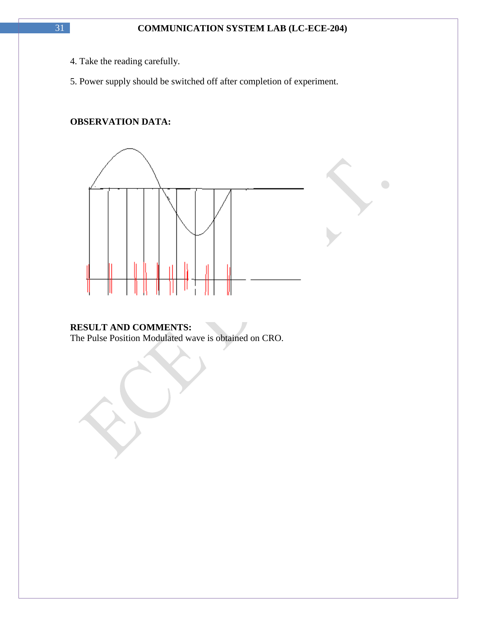$\bigcirc$ 

- 4. Take the reading carefully.
- 5. Power supply should be switched off after completion of experiment.

### **OBSERVATION DATA:**



### **RESULT AND COMMENTS:**

The Pulse Position Modulated wave is obtained on CRO.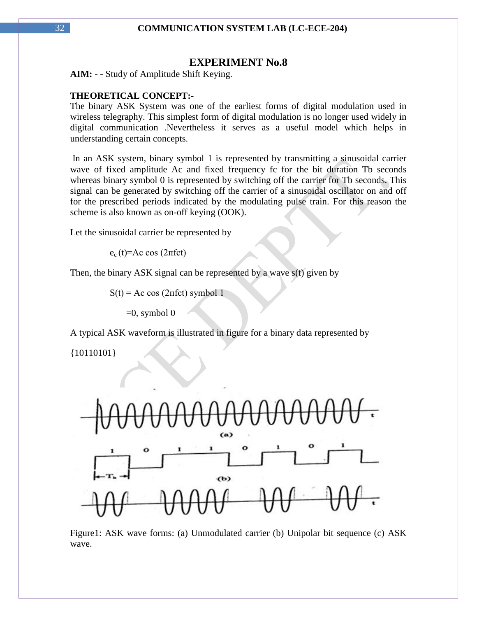### **EXPERIMENT No.8**

**AIM: - -** Study of Amplitude Shift Keying.

### **THEORETICAL CONCEPT:-**

The binary ASK System was one of the earliest forms of digital modulation used in wireless telegraphy. This simplest form of digital modulation is no longer used widely in digital communication .Nevertheless it serves as a useful model which helps in understanding certain concepts.

In an ASK system, binary symbol 1 is represented by transmitting a sinusoidal carrier wave of fixed amplitude Ac and fixed frequency fc for the bit duration Tb seconds whereas binary symbol 0 is represented by switching off the carrier for Tb seconds. This signal can be generated by switching off the carrier of a sinusoidal oscillator on and off for the prescribed periods indicated by the modulating pulse train. For this reason the scheme is also known as on-off keying (OOK).

Let the sinusoidal carrier be represented by

 $e_c(t) = Ac \cos(2πfct)$ 

Then, the binary ASK signal can be represented by a wave s(t) given by

 $S(t) = Ac \cos(2\pi fct)$  symbol 1

 $=0$ , symbol 0

A typical ASK waveform is illustrated in figure for a binary data represented by

{10110101}



Figure1: ASK wave forms: (a) Unmodulated carrier (b) Unipolar bit sequence (c) ASK wave.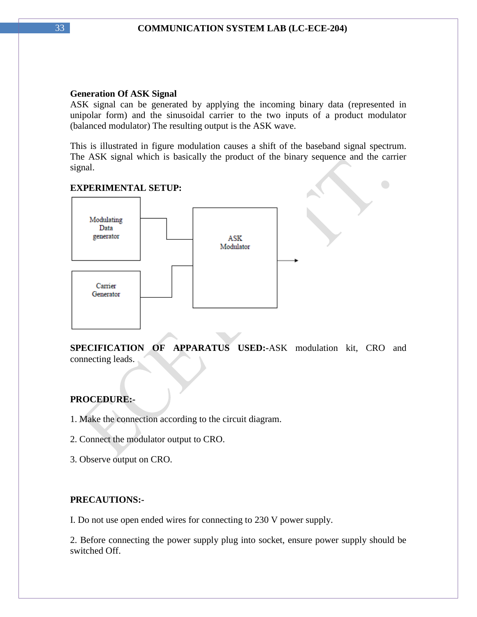### **Generation Of ASK Signal**

ASK signal can be generated by applying the incoming binary data (represented in unipolar form) and the sinusoidal carrier to the two inputs of a product modulator (balanced modulator) The resulting output is the ASK wave.

This is illustrated in figure modulation causes a shift of the baseband signal spectrum. The ASK signal which is basically the product of the binary sequence and the carrier signal.

 $\bigcirc$ 

### **EXPERIMENTAL SETUP:**



**SPECIFICATION OF APPARATUS USED:-**ASK modulation kit, CRO and connecting leads.

### **PROCEDURE:-**

- 1. Make the connection according to the circuit diagram.
- 2. Connect the modulator output to CRO.
- 3. Observe output on CRO.

### **PRECAUTIONS:-**

I. Do not use open ended wires for connecting to 230 V power supply.

2. Before connecting the power supply plug into socket, ensure power supply should be switched Off.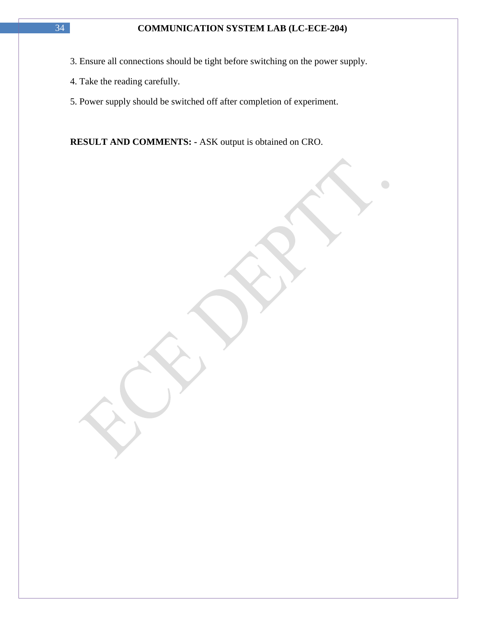- 3. Ensure all connections should be tight before switching on the power supply.
- 4. Take the reading carefully.
- 5. Power supply should be switched off after completion of experiment.

**RESULT AND COMMENTS: -** ASK output is obtained on CRO.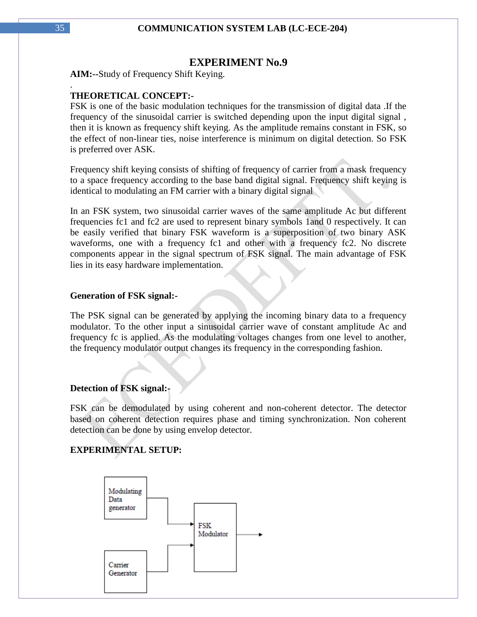### **EXPERIMENT No.9**

**AIM:--**Study of Frequency Shift Keying.

### **THEORETICAL CONCEPT:-**

FSK is one of the basic modulation techniques for the transmission of digital data .If the frequency of the sinusoidal carrier is switched depending upon the input digital signal , then it is known as frequency shift keying. As the amplitude remains constant in FSK, so the effect of non-linear ties, noise interference is minimum on digital detection. So FSK is preferred over ASK.

Frequency shift keying consists of shifting of frequency of carrier from a mask frequency to a space frequency according to the base band digital signal. Frequency shift keying is identical to modulating an FM carrier with a binary digital signal

In an FSK system, two sinusoidal carrier waves of the same amplitude Ac but different frequencies fc1 and fc2 are used to represent binary symbols 1and 0 respectively. It can be easily verified that binary FSK waveform is a superposition of two binary ASK waveforms, one with a frequency fc1 and other with a frequency fc2. No discrete components appear in the signal spectrum of FSK signal. The main advantage of FSK lies in its easy hardware implementation.

#### **Generation of FSK signal:-**

The PSK signal can be generated by applying the incoming binary data to a frequency modulator. To the other input a sinusoidal carrier wave of constant amplitude Ac and frequency fc is applied. As the modulating voltages changes from one level to another, the frequency modulator output changes its frequency in the corresponding fashion.

### **Detection of FSK signal:-**

FSK can be demodulated by using coherent and non-coherent detector. The detector based on coherent detection requires phase and timing synchronization. Non coherent detection can be done by using envelop detector.

### **EXPERIMENTAL SETUP:**



.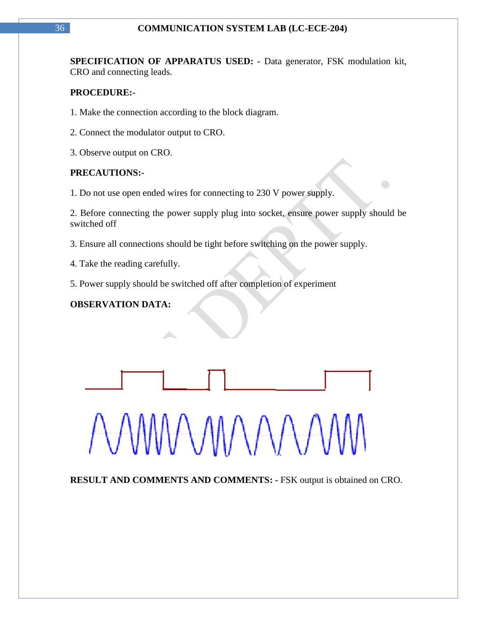**SPECIFICATION OF APPARATUS USED: -** Data generator, FSK modulation kit, CRO and connecting leads.

### **PROCEDURE:-**

- 1. Make the connection according to the block diagram.
- 2. Connect the modulator output to CRO.
- 3. Observe output on CRO.

### **PRECAUTIONS:-**

1. Do not use open ended wires for connecting to 230 V power supply.

2. Before connecting the power supply plug into socket, ensure power supply should be switched off

 $\bigodot$ 

3. Ensure all connections should be tight before switching on the power supply.

4. Take the reading carefully.

5. Power supply should be switched off after completion of experiment

### **OBSERVATION DATA:**



**RESULT AND COMMENTS AND COMMENTS: -** FSK output is obtained on CRO.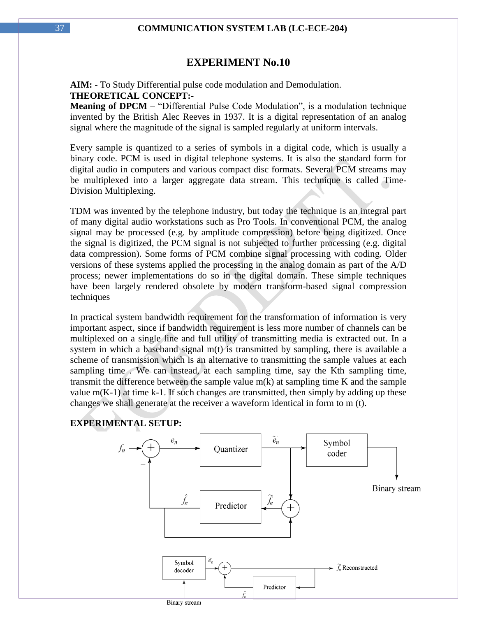### **EXPERIMENT No.10**

**AIM: -** To Study Differential pulse code modulation and Demodulation. **THEORETICAL CONCEPT:-**

**Meaning of DPCM** – "Differential Pulse Code Modulation", is a modulation technique invented by the British Alec Reeves in 1937. It is a digital representation of an analog signal where the magnitude of the signal is sampled regularly at uniform intervals.

Every sample is quantized to a series of symbols in a digital code, which is usually a binary code. PCM is used in digital telephone systems. It is also the standard form for digital audio in computers and various compact disc formats. Several PCM streams may be multiplexed into a larger aggregate data stream. This technique is called Time-Division Multiplexing.

TDM was invented by the telephone industry, but today the technique is an integral part of many digital audio workstations such as Pro Tools. In conventional PCM, the analog signal may be processed (e.g. by amplitude compression) before being digitized. Once the signal is digitized, the PCM signal is not subjected to further processing (e.g. digital data compression). Some forms of PCM combine signal processing with coding. Older versions of these systems applied the processing in the analog domain as part of the A/D process; newer implementations do so in the digital domain. These simple techniques have been largely rendered obsolete by modern transform-based signal compression techniques

In practical system bandwidth requirement for the transformation of information is very important aspect, since if bandwidth requirement is less more number of channels can be multiplexed on a single line and full utility of transmitting media is extracted out. In a system in which a baseband signal m(t) is transmitted by sampling, there is available a scheme of transmission which is an alternative to transmitting the sample values at each sampling time . We can instead, at each sampling time, say the Kth sampling time, transmit the difference between the sample value m(k) at sampling time K and the sample value  $m(K-1)$  at time k-1. If such changes are transmitted, then simply by adding up these changes we shall generate at the receiver a waveform identical in form to m (t).

#### **EXPERIMENTAL SETUP:**